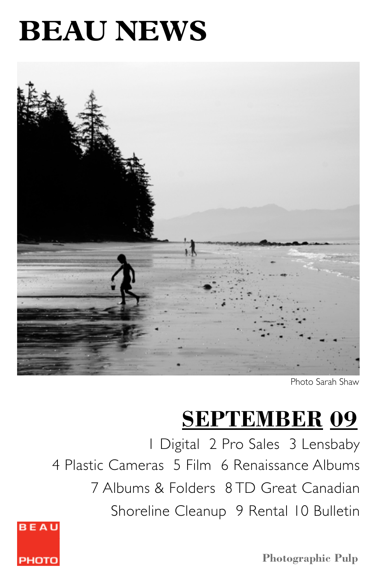# **BEAU NEWS**



Photo Sarah Shaw

# **SEPTEMBER 09**

1 Digital 2 Pro Sales 3 Lensbaby 4 Plastic Cameras 5 Film 6 Renaissance Albums 7 Albums & Folders 8 TD Great Canadian Shoreline Cleanup 9 Rental 10 Bulletin



**Photographic Pulp**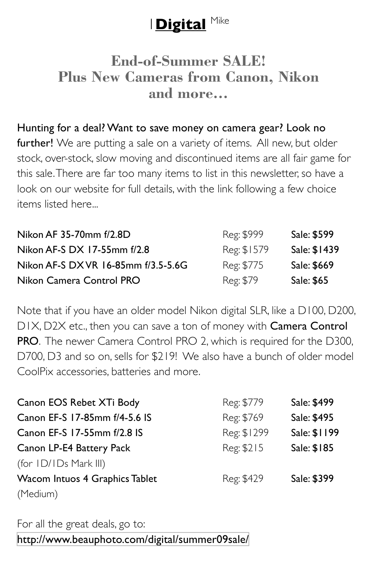# 1**Digital** Mike

### **End-of-Summer SALE! Plus New Cameras from Canon, Nikon and more...**

#### Hunting for a deal? Want to save money on camera gear? Look no

further! We are putting a sale on a variety of items. All new, but older stock, over-stock, slow moving and discontinued items are all fair game for this sale. There are far too many items to list in this newsletter, so have a look on our website for full details, with the link following a few choice items listed here...

| Nikon AF 35-70mm f/2.8D             | Reg: \$999  | Sale: \$599  |
|-------------------------------------|-------------|--------------|
| Nikon AF-S DX 17-55mm f/2.8         | Reg: \$1579 | Sale: \$1439 |
| Nikon AF-S DX VR 16-85mm f/3.5-5.6G | Reg: \$775  | Sale: \$669  |
| Nikon Camera Control PRO            | Reg: \$79   | Sale: \$65   |

Note that if you have an older model Nikon digital SLR, like a D100, D200, D1X, D2X etc., then you can save a ton of money with Camera Control PRO. The newer Camera Control PRO 2, which is required for the D300, D700, D3 and so on, sells for \$219! We also have a bunch of older model CoolPix accessories, batteries and more.

| Canon EOS Rebet XTi Body       | Reg: \$779  | Sale: \$499  |
|--------------------------------|-------------|--------------|
| Canon EF-S 17-85mm f/4-5.6 IS  | Reg: \$769  | Sale: \$495  |
| Canon EF-S 17-55mm f/2.8 IS    | Reg: \$1299 | Sale: \$1199 |
| Canon LP-E4 Battery Pack       | Reg: \$215  | Sale: \$185  |
| (for $ID/IDs$ Mark III)        |             |              |
| Wacom Intuos 4 Graphics Tablet | Reg: \$429  | Sale: \$399  |
| (Medium)                       |             |              |

For all the great deals, go to: <http://www.beauphoto.com/digital/summer09sale/>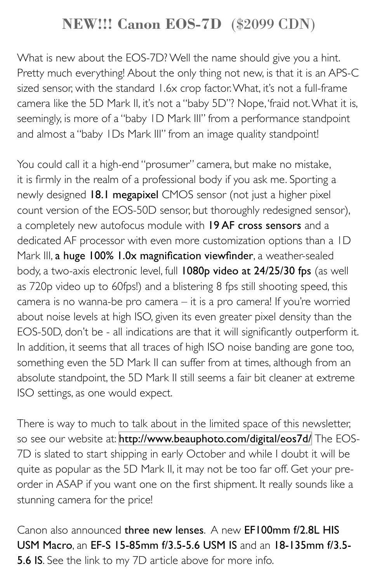# **NEW!!! Canon EOS-7D** (\$2099 CDN)

What is new about the EOS-7D? Well the name should give you a hint. Pretty much everything! About the only thing not new, is that it is an APS-C sized sensor, with the standard 1.6x crop factor. What, it's not a full-frame camera like the 5D Mark II, it's not a "baby 5D"? Nope, 'fraid not. What it is, seemingly, is more of a "baby 1D Mark III" from a performance standpoint and almost a "baby 1Ds Mark III" from an image quality standpoint!

You could call it a high-end "prosumer" camera, but make no mistake, it is firmly in the realm of a professional body if you ask me. Sporting a newly designed 18.1 megapixel CMOS sensor (not just a higher pixel count version of the EOS-50D sensor, but thoroughly redesigned sensor), a completely new autofocus module with 19 AF cross sensors and a dedicated AF processor with even more customization options than a 1D Mark III, a huge 100% 1.0x magnification viewfinder, a weather-sealed body, a two-axis electronic level, full 1080p video at 24/25/30 fps (as well as 720p video up to 60fps!) and a blistering 8 fps still shooting speed, this camera is no wanna-be pro camera – it is a pro camera! If you're worried about noise levels at high ISO, given its even greater pixel density than the EOS-50D, don't be - all indications are that it will significantly outperform it. In addition, it seems that all traces of high ISO noise banding are gone too, something even the 5D Mark II can suffer from at times, although from an absolute standpoint, the 5D Mark II still seems a fair bit cleaner at extreme ISO settings, as one would expect.

There is way to much to talk about in the limited space of this newsletter, so see our website at: <http://www.beauphoto.com/digital/eos7d/> The EOS-7D is slated to start shipping in early October and while I doubt it will be quite as popular as the 5D Mark II, it may not be too far off. Get your preorder in ASAP if you want one on the first shipment. It really sounds like a stunning camera for the price!

Canon also announced three new lenses. A new EF100mm f/2.8L HIS USM Macro, an EF-S 15-85mm f/3.5-5.6 USM IS and an 18-135mm f/3.5- 5.6 IS. See the link to my 7D article above for more info.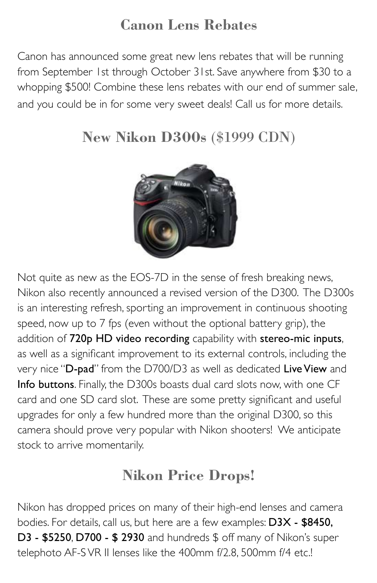# **Canon Lens Rebates**

Canon has announced some great new lens rebates that will be running from September 1st through October 31st. Save anywhere from \$30 to a whopping \$500! Combine these lens rebates with our end of summer sale, and you could be in for some very sweet deals! Call us for more details.

# **New Nikon D300s** (\$1999 CDN)



Not quite as new as the EOS-7D in the sense of fresh breaking news, Nikon also recently announced a revised version of the D300. The D300s is an interesting refresh, sporting an improvement in continuous shooting speed, now up to 7 fps (even without the optional battery grip), the addition of 720p HD video recording capability with stereo-mic inputs, as well as a significant improvement to its external controls, including the very nice "D-pad" from the D700/D3 as well as dedicated Live View and Info buttons. Finally, the D300s boasts dual card slots now, with one CF card and one SD card slot. These are some pretty significant and useful upgrades for only a few hundred more than the original D300, so this camera should prove very popular with Nikon shooters! We anticipate stock to arrive momentarily.

# **Nikon Price Drops!**

Nikon has dropped prices on many of their high-end lenses and camera bodies. For details, call us, but here are a few examples: D3X - \$8450, **D3 - \$5250, D700 - \$ 2930** and hundreds \$ off many of Nikon's super telephoto AF-S VR II lenses like the 400mm f/2.8, 500mm f/4 etc.!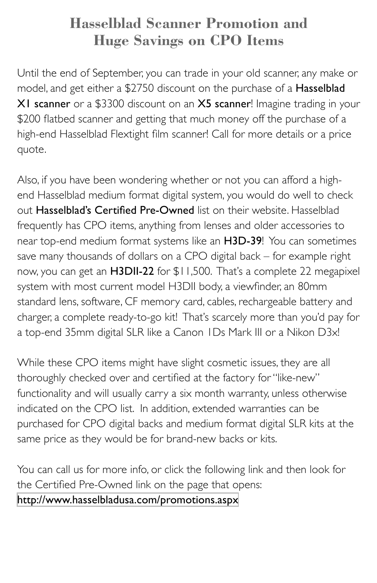# **Hasselblad Scanner Promotion and Huge Savings on CPO Items**

Until the end of September, you can trade in your old scanner, any make or model, and get either a \$2750 discount on the purchase of a Hasselblad X1 scanner or a \$3300 discount on an X5 scanner! Imagine trading in your \$200 flatbed scanner and getting that much money off the purchase of a high-end Hasselblad Flextight film scanner! Call for more details or a price quote.

Also, if you have been wondering whether or not you can afford a highend Hasselblad medium format digital system, you would do well to check out Hasselblad's Certified Pre-Owned list on their website. Hasselblad frequently has CPO items, anything from lenses and older accessories to near top-end medium format systems like an H3D-39! You can sometimes save many thousands of dollars on a CPO digital back – for example right now, you can get an H3DII-22 for \$11,500. That's a complete 22 megapixel system with most current model H3DII body, a viewfinder, an 80mm standard lens, software, CF memory card, cables, rechargeable battery and charger, a complete ready-to-go kit! That's scarcely more than you'd pay for a top-end 35mm digital SLR like a Canon 1Ds Mark III or a Nikon D3x!

While these CPO items might have slight cosmetic issues, they are all thoroughly checked over and certified at the factory for "like-new" functionality and will usually carry a six month warranty, unless otherwise indicated on the CPO list. In addition, extended warranties can be purchased for CPO digital backs and medium format digital SLR kits at the same price as they would be for brand-new backs or kits.

You can call us for more info, or click the following link and then look for the Certified Pre-Owned link on the page that opens:

<http://www.hasselbladusa.com/promotions.aspx>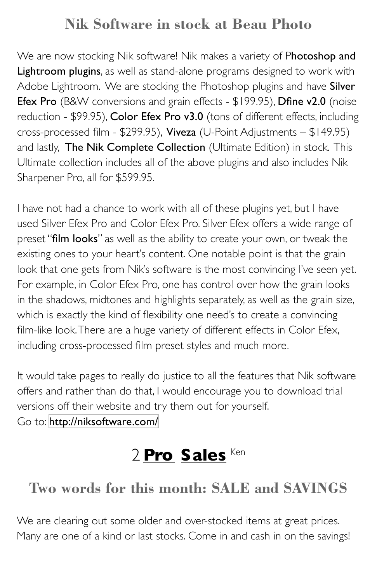# **Nik Software in stock at Beau Photo**

We are now stocking Nik software! Nik makes a variety of Photoshop and Lightroom plugins, as well as stand-alone programs designed to work with Adobe Lightroom. We are stocking the Photoshop plugins and have Silver Efex Pro (B&W conversions and grain effects - \$199.95), Dfine v2.0 (noise reduction - \$99.95), Color Efex Pro v3.0 (tons of different effects, including cross-processed film - \$299.95), Viveza (U-Point Adjustments – \$149.95) and lastly, The Nik Complete Collection (Ultimate Edition) in stock. This Ultimate collection includes all of the above plugins and also includes Nik Sharpener Pro, all for \$599.95.

I have not had a chance to work with all of these plugins yet, but I have used Silver Efex Pro and Color Efex Pro. Silver Efex offers a wide range of preset "film looks" as well as the ability to create your own, or tweak the existing ones to your heart's content. One notable point is that the grain look that one gets from Nik's software is the most convincing I've seen yet. For example, in Color Efex Pro, one has control over how the grain looks in the shadows, midtones and highlights separately, as well as the grain size, which is exactly the kind of flexibility one need's to create a convincing film-like look. There are a huge variety of different effects in Color Efex, including cross-processed film preset styles and much more.

It would take pages to really do justice to all the features that Nik software offers and rather than do that, I would encourage you to download trial versions off their website and try them out for yourself. Go to: <http://niksoftware.com/>

# 2 **Pro Sales** Ken

# **Two words for this month: SALE and SAVINGS**

We are clearing out some older and over-stocked items at great prices. Many are one of a kind or last stocks. Come in and cash in on the savings!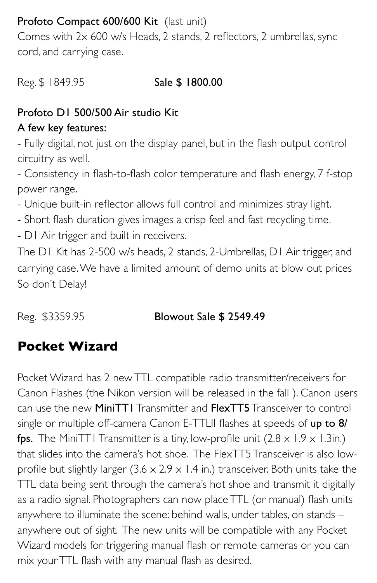### Profoto Compact 600/600 Kit (last unit)

Comes with 2x 600 w/s Heads, 2 stands, 2 reflectors, 2 umbrellas, sync cord, and carrying case.

Reg. \$1849.95 Sale \$1800.00

### Profoto D1 500/500 Air studio Kit

### A few key features:

- Fully digital, not just on the display panel, but in the flash output control circuitry as well.

- Consistency in flash-to-flash color temperature and flash energy, 7 f-stop power range.

- Unique built-in reflector allows full control and minimizes stray light.
- Short flash duration gives images a crisp feel and fast recycling time.
- D1 Air trigger and built in receivers.

The D1 Kit has 2-500 w/s heads, 2 stands, 2-Umbrellas, D1 Air trigger, and carrying case. We have a limited amount of demo units at blow out prices So don't Delay!

### Reg. \$3359.95 **Blowout Sale \$ 2549.49**

# **Pocket Wizard**

Pocket Wizard has 2 new TTL compatible radio transmitter/receivers for Canon Flashes (the Nikon version will be released in the fall ). Canon users can use the new MiniTT1 Transmitter and FlexTT5 Transceiver to control single or multiple off-camera Canon E-TTLII flashes at speeds of up to 8/ fps. The MiniTT1 Transmitter is a tiny, low-profile unit  $(2.8 \times 1.9 \times 1.3)$ in.) that slides into the camera's hot shoe. The FlexTT5 Transceiver is also lowprofile but slightly larger  $(3.6 \times 2.9 \times 1.4 \text{ in.})$  transceiver. Both units take the TTL data being sent through the camera's hot shoe and transmit it digitally as a radio signal. Photographers can now place TTL (or manual) flash units anywhere to illuminate the scene: behind walls, under tables, on stands – anywhere out of sight. The new units will be compatible with any Pocket Wizard models for triggering manual flash or remote cameras or you can mix your TTL flash with any manual flash as desired.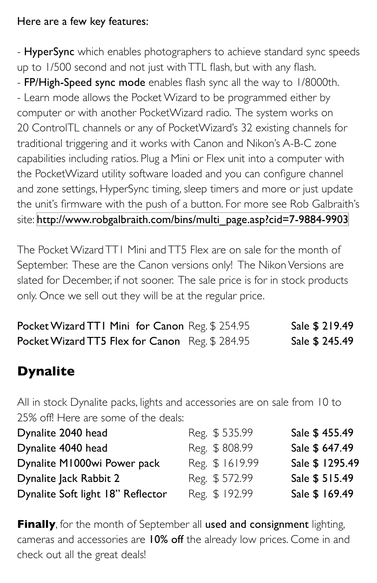### Here are a few key features:

- HyperSync which enables photographers to achieve standard sync speeds up to 1/500 second and not just with TTL flash, but with any flash. - FP/High-Speed sync mode enables flash sync all the way to 1/8000th. - Learn mode allows the Pocket Wizard to be programmed either by computer or with another PocketWizard radio. The system works on 20 ControlTL channels or any of PocketWizard's 32 existing channels for traditional triggering and it works with Canon and Nikon's A-B-C zone capabilities including ratios. Plug a Mini or Flex unit into a computer with the PocketWizard utility software loaded and you can configure channel and zone settings, HyperSync timing, sleep timers and more or just update the unit's firmware with the push of a button. For more see Rob Galbraith's site: [http://www.robgalbraith.com/bins/multi\\_page.asp?cid=7-9884-9903](http://www.robgalbraith.com/bins/multi_page.asp?cid=7-9884-9903)

The Pocket Wizard TT1 Mini and TT5 Flex are on sale for the month of September. These are the Canon versions only! The Nikon Versions are slated for December, if not sooner. The sale price is for in stock products only. Once we sell out they will be at the regular price.

| Pocket Wizard TTI Mini for Canon Reg. \$ 254.95 | Sale \$ 219.49 |
|-------------------------------------------------|----------------|
| Pocket Wizard TT5 Flex for Canon Reg. \$ 284.95 | Sale \$ 245.49 |

# **Dynalite**

All in stock Dynalite packs, lights and accessories are on sale from 10 to 25% off! Here are some of the deals:

| Dynalite 2040 head                | Reg. \$535.99   | Sale \$455.49   |
|-----------------------------------|-----------------|-----------------|
| Dynalite 4040 head                | Reg. \$808.99   | Sale \$ 647.49  |
| Dynalite M1000wi Power pack       | Reg. \$ 1619.99 | Sale \$ 1295.49 |
| Dynalite Jack Rabbit 2            | Reg. \$572.99   | Sale \$ 515.49  |
| Dynalite Soft light 18" Reflector | Reg. \$ 192.99  | Sale \$ 169.49  |

**Finally**, for the month of September all used and consignment lighting, cameras and accessories are 10% off the already low prices. Come in and check out all the great deals!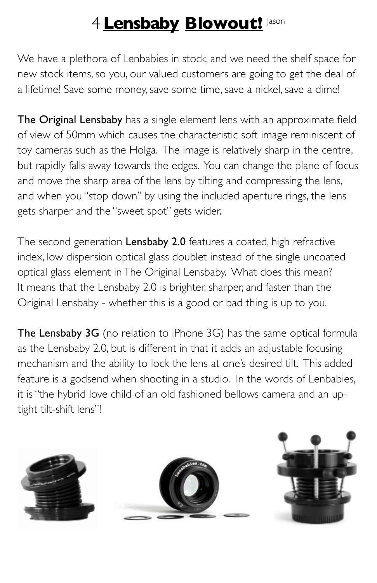# 4 **Lensbaby Blowout!** Jason

We have a plethora of Lenbabies in stock, and we need the shelf space for new stock items, so you, our valued customers are going to get the deal of a lifetime! Save some money, save some time, save a nickel, save a dime!

The Original Lensbaby has a single element lens with an approximate field of view of 50mm which causes the characteristic soft image reminiscent of toy cameras such as the Holga. The image is relatively sharp in the centre, but rapidly falls away towards the edges. You can change the plane of focus and move the sharp area of the lens by tilting and compressing the lens, and when you "stop down" by using the included aperture rings, the lens gets sharper and the "sweet spot" gets wider.

The second generation Lensbaby 2.0 features a coated, high refractive index, low dispersion optical glass doublet instead of the single uncoated optical glass element in The Original Lensbaby. What does this mean? It means that the Lensbaby 2.0 is brighter, sharper, and faster than the Original Lensbaby - whether this is a good or bad thing is up to you.

The Lensbaby 3G (no relation to iPhone 3G) has the same optical formula as the Lensbaby 2.0, but is different in that it adds an adjustable focusing mechanism and the ability to lock the lens at one's desired tilt. This added feature is a godsend when shooting in a studio. In the words of Lenbabies, it is "the hybrid love child of an old fashioned bellows camera and an uptight tilt-shift lens"!

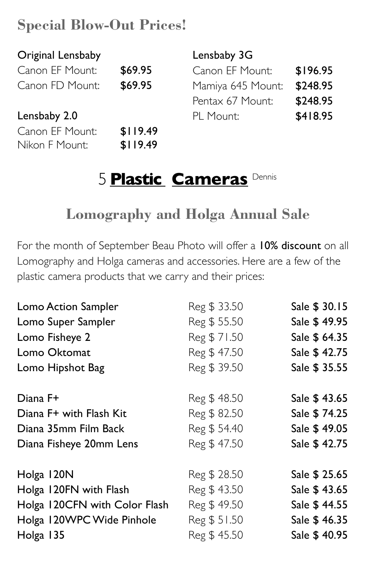# **Special Blow-Out Prices!**

| Original Lensbaby |          | Lensbaby 3G       |          |
|-------------------|----------|-------------------|----------|
| Canon EF Mount:   | \$69.95  | Canon EF Mount:   | \$196.95 |
| Canon FD Mount:   | \$69.95  | Mamiya 645 Mount: | \$248.95 |
|                   |          | Pentax 67 Mount:  | \$248.95 |
| Lensbaby 2.0      |          | PL Mount:         | \$418.95 |
| Canon EF Mount:   | \$119.49 |                   |          |
| Nikon F Mount:    | \$119.49 |                   |          |

# 5 **Plastic Cameras** Dennis

# **Lomography and Holga Annual Sale**

For the month of September Beau Photo will offer a 10% discount on all Lomography and Holga cameras and accessories. Here are a few of the plastic camera products that we carry and their prices:

| Lomo Action Sampler           | Reg \$ 33.50 | Sale \$ 30.15 |
|-------------------------------|--------------|---------------|
| Lomo Super Sampler            | Reg \$55.50  | Sale \$49.95  |
| Lomo Fisheye 2                | Reg \$71.50  | Sale \$ 64.35 |
| Lomo Oktomat                  | Reg \$47.50  | Sale \$42.75  |
| Lomo Hipshot Bag              | Reg \$39.50  | Sale \$ 35.55 |
| Diana F+                      | Reg \$48.50  | Sale \$43.65  |
| Diana F+ with Flash Kit       | Reg \$82.50  | Sale \$74.25  |
| Diana 35mm Film Back          | Reg \$54.40  | Sale \$49.05  |
| Diana Fisheye 20mm Lens       | Reg \$47.50  | Sale \$42.75  |
| Holga 120N                    | Reg \$ 28.50 | Sale \$ 25.65 |
| Holga 120FN with Flash        | Reg \$43.50  | Sale \$43.65  |
| Holga 120CFN with Color Flash | Reg \$49.50  | Sale \$44.55  |
| Holga 120WPC Wide Pinhole     | Reg \$ 51.50 | Sale \$46.35  |
| Holga 135                     | Reg \$45.50  | Sale \$40.95  |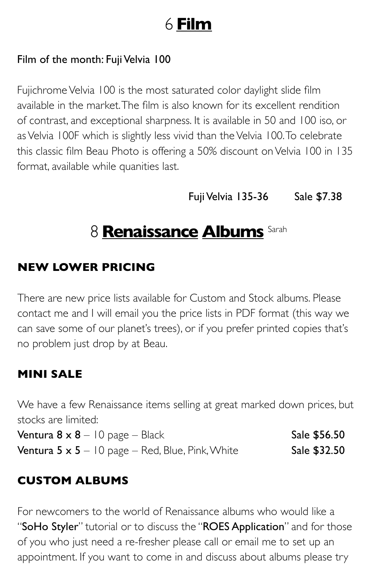# 6 **Film**

### Film of the month: Fuji Velvia 100

Fujichrome Velvia 100 is the most saturated color daylight slide film available in the market. The film is also known for its excellent rendition of contrast, and exceptional sharpness. It is available in 50 and 100 iso, or as Velvia 100F which is slightly less vivid than the Velvia 100. To celebrate this classic film Beau Photo is offering a 50% discount on Velvia 100 in 135 format, available while quanities last.

Fuji Velvia 135-36 Sale \$7.38

# 8 **Renaissance Albums** Sarah

### **NEW LOWER PRICING**

There are new price lists available for Custom and Stock albums. Please contact me and I will email you the price lists in PDF format (this way we can save some of our planet's trees), or if you prefer printed copies that's no problem just drop by at Beau.

### **MINI SALE**

We have a few Renaissance items selling at great marked down prices, but stocks are limited:

Ventura  $8 \times 8 - 10$  page – Black Sale \$56.50 Ventura  $5 \times 5 - 10$  page – Red, Blue, Pink, White Sale  $$32.50$ 

### **CUSTOM ALBUMS**

For newcomers to the world of Renaissance albums who would like a "SoHo Styler" tutorial or to discuss the "ROES Application" and for those of you who just need a re-fresher please call or email me to set up an appointment. If you want to come in and discuss about albums please try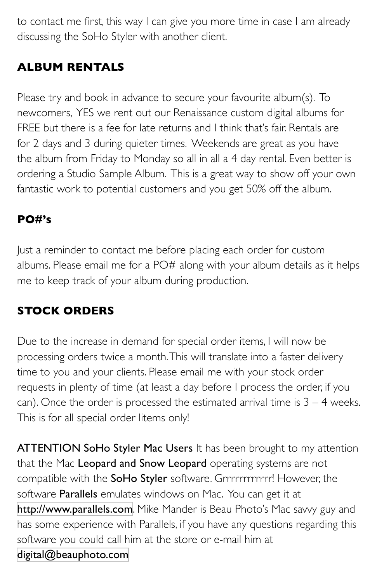to contact me first, this way I can give you more time in case I am already discussing the SoHo Styler with another client.

### **ALBUM RENTALS**

Please try and book in advance to secure your favourite album(s). To newcomers, YES we rent out our Renaissance custom digital albums for FREE but there is a fee for late returns and I think that's fair. Rentals are for 2 days and 3 during quieter times. Weekends are great as you have the album from Friday to Monday so all in all a 4 day rental. Even better is ordering a Studio Sample Album. This is a great way to show off your own fantastic work to potential customers and you get 50% off the album.

### **PO#'s**

Just a reminder to contact me before placing each order for custom albums. Please email me for a PO# along with your album details as it helps me to keep track of your album during production.

### **STOCK ORDERS**

Due to the increase in demand for special order items, I will now be processing orders twice a month. This will translate into a faster delivery time to you and your clients. Please email me with your stock order requests in plenty of time (at least a day before I process the order, if you can). Once the order is processed the estimated arrival time is  $3 - 4$  weeks. This is for all special order Iitems only!

ATTENTION SoHo Styler Mac Users It has been brought to my attention that the Mac Leopard and Snow Leopard operating systems are not compatible with the SoHo Styler software. Grrrrrrrrrrrr! However, the software **Parallels** emulates windows on Mac. You can get it at <http://www.parallels.com>. Mike Mander is Beau Photo's Mac savvy guy and has some experience with Parallels, if you have any questions regarding this software you could call him at the store or e-mail him at [digital@beauphoto.com](mailto:digital@beauphoto.com)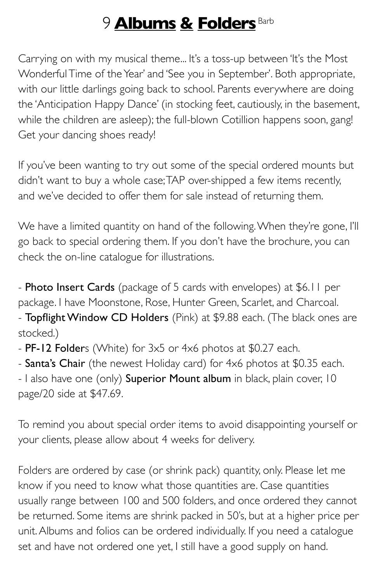# 9 **Albums & Folders** Barb

Carrying on with my musical theme... It's a toss-up between 'It's the Most Wonderful Time of the Year' and 'See you in September'. Both appropriate, with our little darlings going back to school. Parents everywhere are doing the 'Anticipation Happy Dance' (in stocking feet, cautiously, in the basement, while the children are asleep); the full-blown Cotillion happens soon, gang! Get your dancing shoes ready!

If you've been wanting to try out some of the special ordered mounts but didn't want to buy a whole case; TAP over-shipped a few items recently, and we've decided to offer them for sale instead of returning them.

We have a limited quantity on hand of the following. When they're gone, I'll go back to special ordering them. If you don't have the brochure, you can check the on-line catalogue for illustrations.

- Photo Insert Cards (package of 5 cards with envelopes) at \$6.11 per package. I have Moonstone, Rose, Hunter Green, Scarlet, and Charcoal. - Topflight Window CD Holders (Pink) at \$9.88 each. (The black ones are stocked.)

- PF-12 Folders (White) for 3x5 or 4x6 photos at \$0.27 each.

- Santa's Chair (the newest Holiday card) for 4x6 photos at \$0.35 each. - I also have one (only) Superior Mount album in black, plain cover, 10 page/20 side at \$47.69.

To remind you about special order items to avoid disappointing yourself or your clients, please allow about 4 weeks for delivery.

Folders are ordered by case (or shrink pack) quantity, only. Please let me know if you need to know what those quantities are. Case quantities usually range between 100 and 500 folders, and once ordered they cannot be returned. Some items are shrink packed in 50's, but at a higher price per unit. Albums and folios can be ordered individually. If you need a catalogue set and have not ordered one yet, I still have a good supply on hand.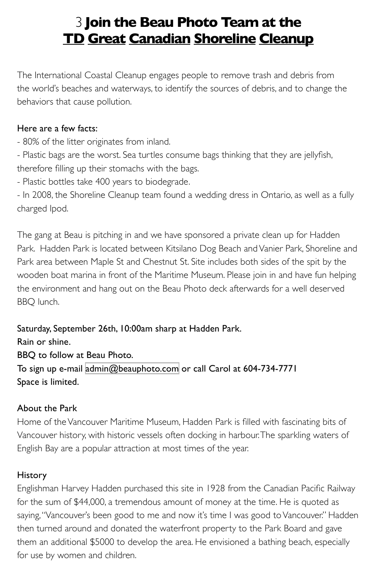### 3 **Join the Beau Photo Team at the TD Great Canadian Shoreline Cleanup**

The International Coastal Cleanup engages people to remove trash and debris from the world's beaches and waterways, to identify the sources of debris, and to change the behaviors that cause pollution.

#### Here are a few facts:

- 80% of the litter originates from inland.

- Plastic bags are the worst. Sea turtles consume bags thinking that they are jellyfish, therefore filling up their stomachs with the bags.

- Plastic bottles take 400 years to biodegrade.

- In 2008, the Shoreline Cleanup team found a wedding dress in Ontario, as well as a fully charged Ipod.

The gang at Beau is pitching in and we have sponsored a private clean up for Hadden Park. Hadden Park is located between Kitsilano Dog Beach and Vanier Park, Shoreline and Park area between Maple St and Chestnut St. Site includes both sides of the spit by the wooden boat marina in front of the Maritime Museum. Please join in and have fun helping the environment and hang out on the Beau Photo deck afterwards for a well deserved BBQ lunch.

Saturday, September 26th, 10:00am sharp at Hadden Park. Rain or shine. BBQ to follow at Beau Photo. To sign up e-mail [admin@beauphoto.com](mailto:admin@beauphoto.com) or call Carol at 604-734-7771 Space is limited.

#### About the Park

Home of the Vancouver Maritime Museum, Hadden Park is filled with fascinating bits of Vancouver history, with historic vessels often docking in harbour. The sparkling waters of English Bay are a popular attraction at most times of the year.

#### History

Englishman Harvey Hadden purchased this site in 1928 from the Canadian Pacific Railway for the sum of \$44,000, a tremendous amount of money at the time. He is quoted as saying, "Vancouver's been good to me and now it's time I was good to Vancouver." Hadden then turned around and donated the waterfront property to the Park Board and gave them an additional \$5000 to develop the area. He envisioned a bathing beach, especially for use by women and children.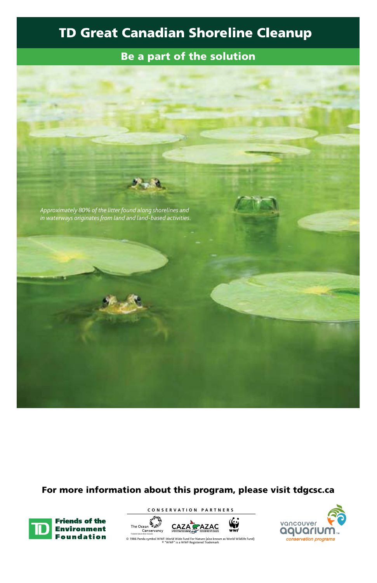### **TD Great Canadian Shoreline Cleanup**

#### Be a part of the solution



#### For more information about this program, please visit tdgcsc.ca



**CONSERVATION PARTNERS**





© 1986 Panda symbol WWF-World Wide Fund For Nature (also known as World Wildlife Fund) ® "WWF" is a WWF Registered Trademark